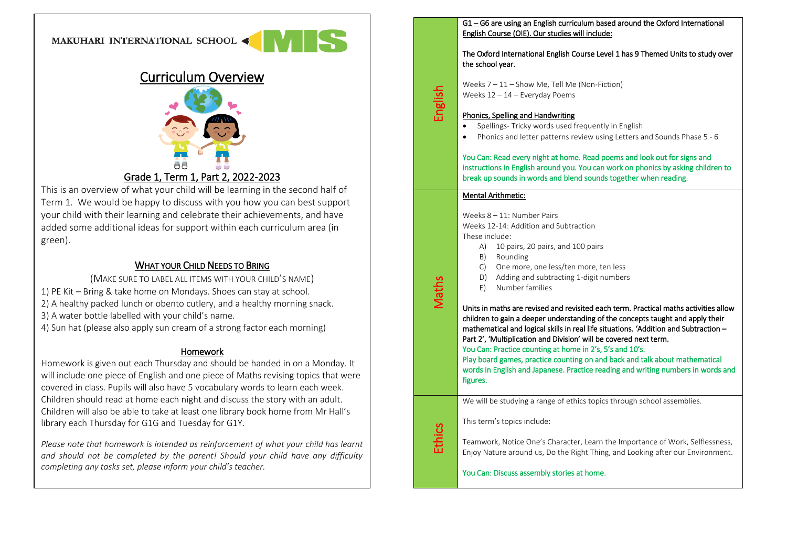## MAKUHARI INTERNATIONAL SCHOOL



# Curriculum Overview



## Grade 1, Term 1, Part 2, 2022-2023

This is an overview of what your child will be learning in the second half of Term 1. We would be happy to discuss with you how you can best support your child with their learning and celebrate their achievements, and have added some additional ideas for support within each curriculum area (in green).

## WHAT YOUR CHILD NEEDS TO BRING

(MAKE SURE TO LABEL ALL ITEMS WITH YOUR CHILD'S NAME)

- 1) PE Kit Bring & take home on Mondays. Shoes can stay at school.
- 2) A healthy packed lunch or obento cutlery, and a healthy morning snack.
- 3) A water bottle labelled with your child's name.
- 4) Sun hat (please also apply sun cream of a strong factor each morning)

### Homework

Homework is given out each Thursday and should be handed in on a Monday. It will include one piece of English and one piece of Maths revising topics that were covered in class. Pupils will also have 5 vocabulary words to learn each week. Children should read at home each night and discuss the story with an adult. Children will also be able to take at least one library book home from Mr Hall's library each Thursday for G1G and Tuesday for G1Y.

*Please note that homework is intended as reinforcement of what your child has learnt and should not be completed by the parent! Should your child have any difficulty completing any tasks set, please inform your child's teacher.*

#### G1 – G6 are using an English curriculum based around the Oxford International English Course (OIE). Our studies will include:

The Oxford International English Course Level 1 has 9 Themed Units to study over the school year.

Weeks 7 – 11 – Show Me, Tell Me (Non-Fiction) Weeks 12 – 14 – Everyday Poems

### Phonics, Spelling and Handwriting

- Spellings- Tricky words used frequently in English
- Phonics and letter patterns review using Letters and Sounds Phase 5 6

You Can: Read every night at home. Read poems and look out for signs and instructions in English around you. You can work on phonics by asking children to break up sounds in words and blend sounds together when reading.

### Mental Arithmetic:

English

Maths

**Ethics** 

Weeks 8 – 11: Number Pairs Weeks 12-14: Addition and Subtraction These include:

- A) 10 pairs, 20 pairs, and 100 pairs
- B) Rounding
- C) One more, one less/ten more, ten less
- D) Adding and subtracting 1-digit numbers
- E) Number families

Units in maths are revised and revisited each term. Practical maths activities allow children to gain a deeper understanding of the concepts taught and apply their mathematical and logical skills in real life situations. 'Addition and Subtraction – Part 2', 'Multiplication and Division' will be covered next term.

You Can: Practice counting at home in 2's, 5's and 10's.

Play board games, practice counting on and back and talk about mathematical words in English and Japanese. Practice reading and writing numbers in words and figures.

We will be studying a range of ethics topics through school assemblies.

This term's topics include:

Teamwork, Notice One's Character, Learn the Importance of Work, Selflessness, Enjoy Nature around us, Do the Right Thing, and Looking after our Environment.

You Can: Discuss assembly stories at home.